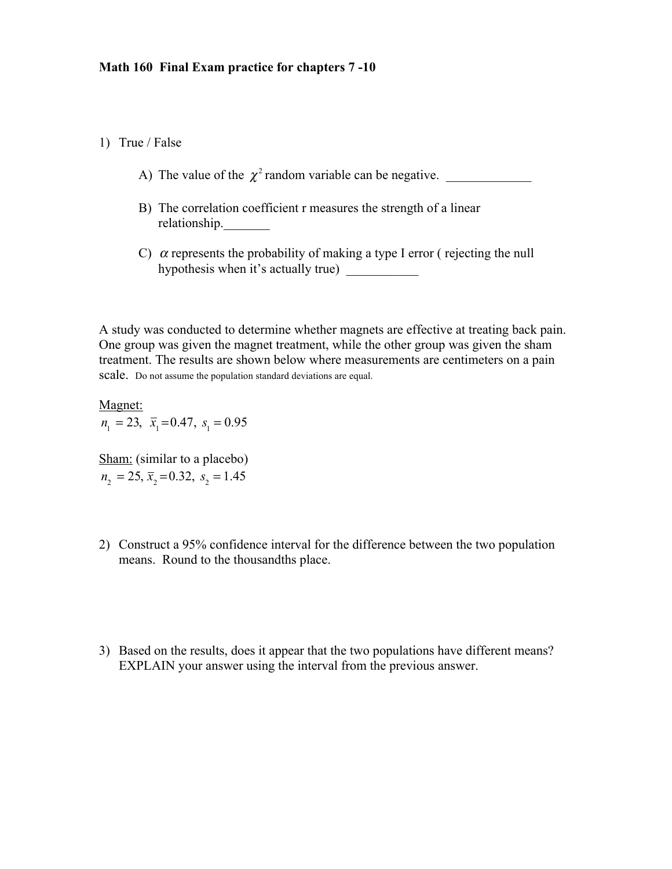## 1) True / False

- A) The value of the  $\chi^2$  random variable can be negative.
- B) The correlation coefficient r measures the strength of a linear relationship.
- C)  $\alpha$  represents the probability of making a type I error (rejecting the null hypothesis when it's actually true)

A study was conducted to determine whether magnets are effective at treating back pain. One group was given the magnet treatment, while the other group was given the sham treatment. The results are shown below where measurements are centimeters on a pain scale. Do not assume the population standard deviations are equal.

Magnet:  $n_1 = 23$ ,  $\bar{x}_1 = 0.47$ ,  $s_1 = 0.95$ 

Sham: (similar to a placebo)  $n_2 = 25$ ,  $\bar{x}_2 = 0.32$ ,  $s_2 = 1.45$ 

- 2) Construct a 95% confidence interval for the difference between the two population means. Round to the thousandths place.
- 3) Based on the results, does it appear that the two populations have different means? EXPLAIN your answer using the interval from the previous answer.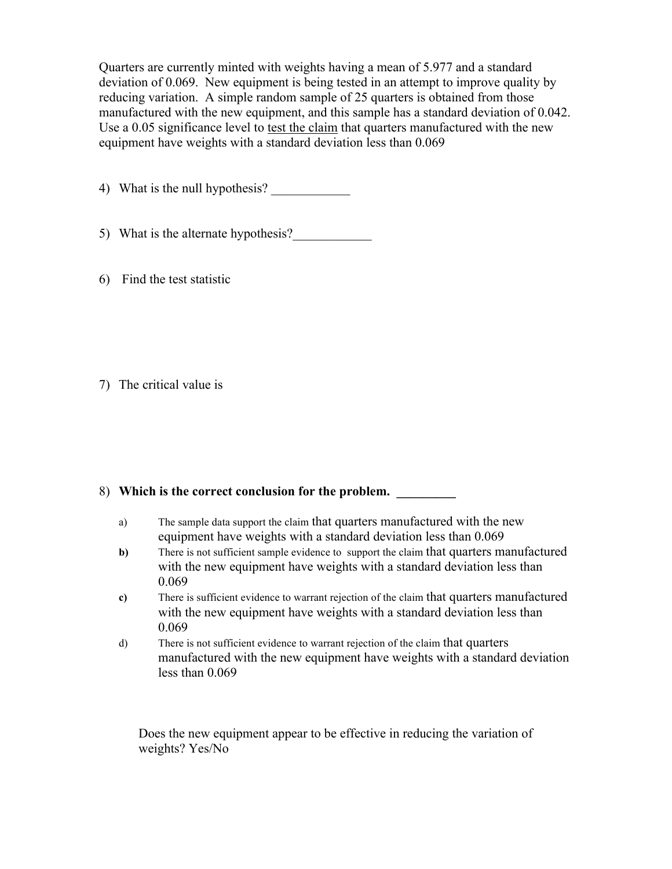Quarters are currently minted with weights having a mean of 5.977 and a standard deviation of 0.069. New equipment is being tested in an attempt to improve quality by reducing variation. A simple random sample of 25 quarters is obtained from those manufactured with the new equipment, and this sample has a standard deviation of 0.042. Use a 0.05 significance level to test the claim that quarters manufactured with the new equipment have weights with a standard deviation less than 0.069

4) What is the null hypothesis?

- 5) What is the alternate hypothesis?
- 6) Find the test statistic

7) The critical value is

## 8) Which is the correct conclusion for the problem.

- a) The sample data support the claim that quarters manufactured with the new equipment have weights with a standard deviation less than 0.069
- **b**) There is not sufficient sample evidence to support the claim that quarters manufactured with the new equipment have weights with a standard deviation less than 0.069
- **c)** There is sufficient evidence to warrant rejection of the claim that quarters manufactured with the new equipment have weights with a standard deviation less than 0.069
- d) There is not sufficient evidence to warrant rejection of the claim that quarters manufactured with the new equipment have weights with a standard deviation less than 0.069

Does the new equipment appear to be effective in reducing the variation of weights? Yes/No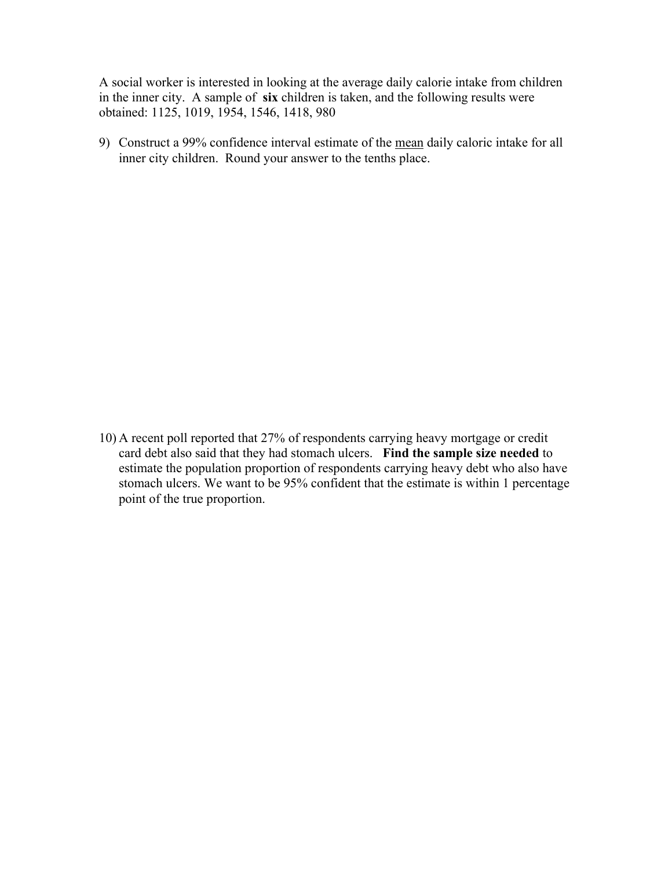A social worker is interested in looking at the average daily calorie intake from children in the inner city. A sample of **six** children is taken, and the following results were obtained: 1125, 1019, 1954, 1546, 1418, 980

9) Construct a 99% confidence interval estimate of the mean daily caloric intake for all inner city children. Round your answer to the tenths place.

10) A recent poll reported that 27% of respondents carrying heavy mortgage or credit card debt also said that they had stomach ulcers. **Find the sample size needed** to estimate the population proportion of respondents carrying heavy debt who also have stomach ulcers. We want to be 95% confident that the estimate is within 1 percentage point of the true proportion.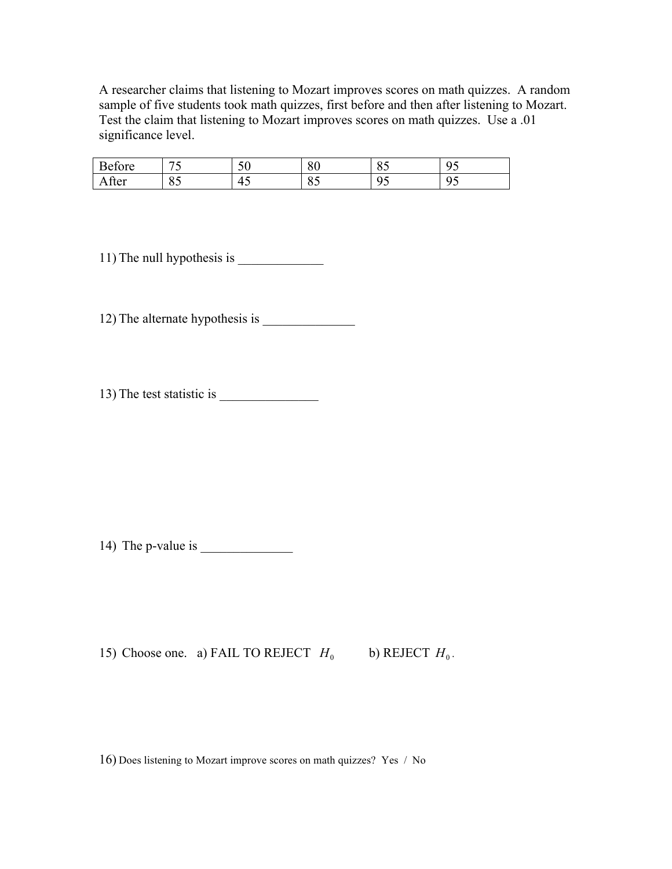A researcher claims that listening to Mozart improves scores on math quizzes. A random sample of five students took math quizzes, first before and then after listening to Mozart. Test the claim that listening to Mozart improves scores on math quizzes. Use a .01 significance level.

| $\sqrt{ }$<br>'∩re<br>'AΤ.<br>∿roic | $ -$<br><u>—</u>                                | $\sim$ $\sim$<br>ΟU | o٢<br>oυ     | $\Omega$ $\sim$<br>ΟJ | $\sim$ $\sim$<br>◡<br>.<br>. |
|-------------------------------------|-------------------------------------------------|---------------------|--------------|-----------------------|------------------------------|
| Atter                               | $\sim$ $\sim$<br>$\overline{\phantom{a}}$<br>ບຸ | 4<br>໋              | $\sim$<br>ΟJ | $\sim$ $\sim$<br>-u   | $\sim$ $\sim$<br>∼<br>.<br>. |

11) The null hypothesis is \_\_\_\_\_\_\_\_\_\_\_\_\_

12) The alternate hypothesis is \_\_\_\_\_\_\_\_\_\_\_\_\_\_

13) The test statistic is \_\_\_\_\_\_\_\_\_\_\_\_\_\_\_

14) The p-value is  $\frac{1}{\sqrt{1-\frac{1}{2}}}\$ 

15) Choose one. a) FAIL TO REJECT  $H_0$  b) REJECT  $H_0$ .

16) Does listening to Mozart improve scores on math quizzes? Yes / No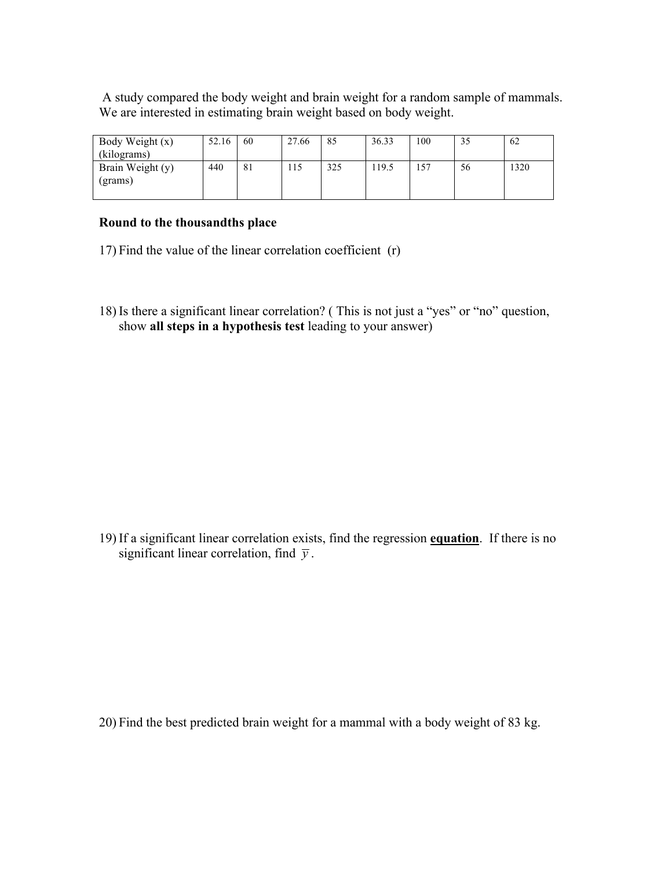A study compared the body weight and brain weight for a random sample of mammals. We are interested in estimating brain weight based on body weight.

| Body Weight (x)             | 52.16 | 60 | 27.66 | 85  | 36.33 | 100 | 35 | 62   |
|-----------------------------|-------|----|-------|-----|-------|-----|----|------|
| (kilograms)                 |       |    |       |     |       |     |    |      |
| Brain Weight (y)<br>(grams) | 440   | 81 | 115   | 325 | 19.5  | 57ء | 56 | 1320 |
|                             |       |    |       |     |       |     |    |      |

## **Round to the thousandths place**

- 17) Find the value of the linear correlation coefficient (r)
- 18) Is there a significant linear correlation? ( This is not just a "yes" or "no" question, show **all steps in a hypothesis test** leading to your answer)

19) If a significant linear correlation exists, find the regression **equation**. If there is no significant linear correlation, find  $\bar{y}$ .

20) Find the best predicted brain weight for a mammal with a body weight of 83 kg.